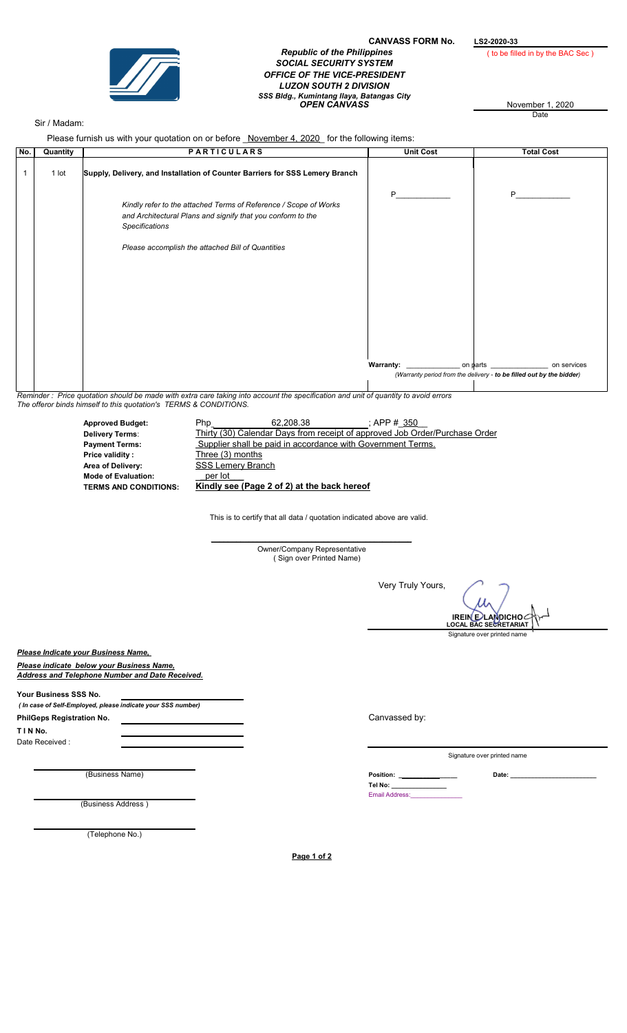

## CANVASS FORM No.  $L$ S2-2020-33<br>Republic of the Philippines (to be fill SOCIAL SECURITY SYSTEM OFFICE OF THE VICE-PRESIDENT LUZON SOUTH 2 DIVISION SSS Bidg., Kumintang Ilaya, Batangas City<br>OPEN CANVASS **November 1, 2020**

( to be filled in by the BAC Sec )

**Date** 

## Sir / Madam:

Please furnish us with your quotation on or before November 4, 2020 for the following items:

| No. | Quantity | <b>PARTICULARS</b>                                                                                                                                       | <b>Unit Cost</b> | <b>Total Cost</b>                                                                                                      |
|-----|----------|----------------------------------------------------------------------------------------------------------------------------------------------------------|------------------|------------------------------------------------------------------------------------------------------------------------|
|     | 1 lot    | Supply, Delivery, and Installation of Counter Barriers for SSS Lemery Branch                                                                             |                  |                                                                                                                        |
|     |          | Kindly refer to the attached Terms of Reference / Scope of Works<br>and Architectural Plans and signify that you conform to the<br><b>Specifications</b> | P                | P                                                                                                                      |
|     |          | Please accomplish the attached Bill of Quantities                                                                                                        |                  |                                                                                                                        |
|     |          |                                                                                                                                                          |                  |                                                                                                                        |
|     |          |                                                                                                                                                          |                  |                                                                                                                        |
|     |          |                                                                                                                                                          |                  |                                                                                                                        |
|     |          |                                                                                                                                                          |                  | on services<br>on $\phi$ arts ________________<br>(Warranty period from the delivery - to be filled out by the bidder) |
|     |          |                                                                                                                                                          |                  |                                                                                                                        |

Reminder : Price quotation should be made with extra care taking into account the specification and unit of quantity to avoid errors The offeror binds himself to this quotation's TERMS & CONDITIONS.

| <b>Approved Budget:</b>      | <b>Php</b>               | 62.208.38                                                   | : APP # 350                                                                 |
|------------------------------|--------------------------|-------------------------------------------------------------|-----------------------------------------------------------------------------|
| <b>Delivery Terms:</b>       |                          |                                                             | Thirty (30) Calendar Days from receipt of approved Job Order/Purchase Order |
| <b>Payment Terms:</b>        |                          | Supplier shall be paid in accordance with Government Terms. |                                                                             |
| Price validity:              | Three (3) months         |                                                             |                                                                             |
| Area of Delivery:            | <b>SSS Lemery Branch</b> |                                                             |                                                                             |
| <b>Mode of Evaluation:</b>   | per lot                  |                                                             |                                                                             |
| <b>TERMS AND CONDITIONS:</b> |                          | Kindly see (Page 2 of 2) at the back hereof                 |                                                                             |

This is to certify that all data / quotation indicated above are valid.

\_\_\_\_\_\_\_\_\_\_\_\_\_\_\_\_\_\_\_\_\_\_\_\_\_\_\_\_\_\_\_\_\_\_\_\_\_\_\_\_\_\_\_\_\_\_\_\_ Owner/Company Representative ( Sign over Printed Name)

Very Truly Yours,

Signature over printed name IREIN E∕LAMDICHO*⊂*<br>LOCAL BAC SECRETARIAT

Please Indicate your Business Name,

Please indicate below your Business Name, Address and Telephone Number and Date Received.

Your Business SSS No. ( In case of Self-Employed, please indicate your SSS number)

PhilGeps Registration No.

T I N No.

Date Received :

(Business Address )

(Telephone No.)

Canvassed by:

Signature over printed name

(Business Name) Date: \_\_\_\_\_\_\_\_\_\_\_\_\_\_\_\_\_\_\_\_\_\_\_\_\_ Tel No: \_\_\_\_\_\_\_\_\_\_\_\_\_\_\_\_ Email Address: Position: \_

Page 1 of 2